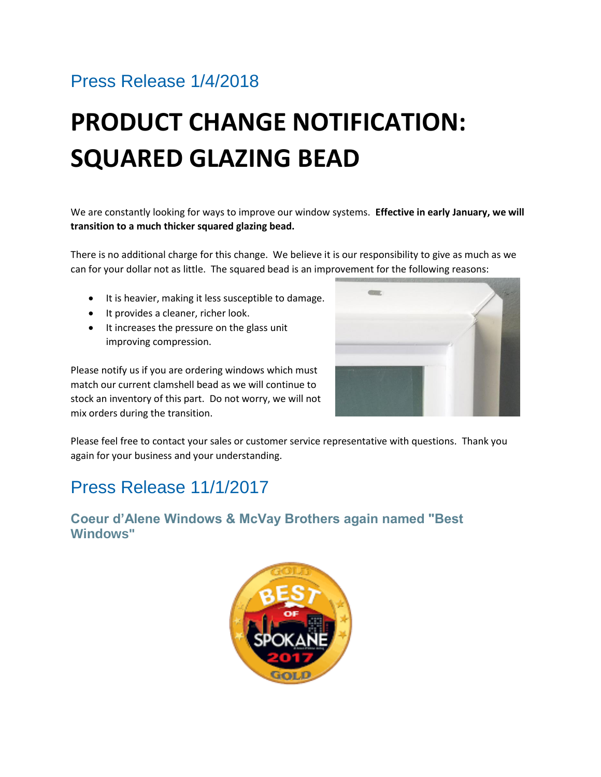## Press Release 1/4/2018

# **PRODUCT CHANGE NOTIFICATION: SQUARED GLAZING BEAD**

We are constantly looking for ways to improve our window systems. **Effective in early January, we will transition to a much thicker squared glazing bead.**

There is no additional charge for this change. We believe it is our responsibility to give as much as we can for your dollar not as little. The squared bead is an improvement for the following reasons:

- It is heavier, making it less susceptible to damage.
- It provides a cleaner, richer look.
- It increases the pressure on the glass unit improving compression.

Please notify us if you are ordering windows which must match our current clamshell bead as we will continue to stock an inventory of this part. Do not worry, we will not mix orders during the transition.



Please feel free to contact your sales or customer service representative with questions. Thank you again for your business and your understanding.

### Press Release 11/1/2017

**Coeur d'Alene Windows & McVay Brothers again named "Best Windows"**

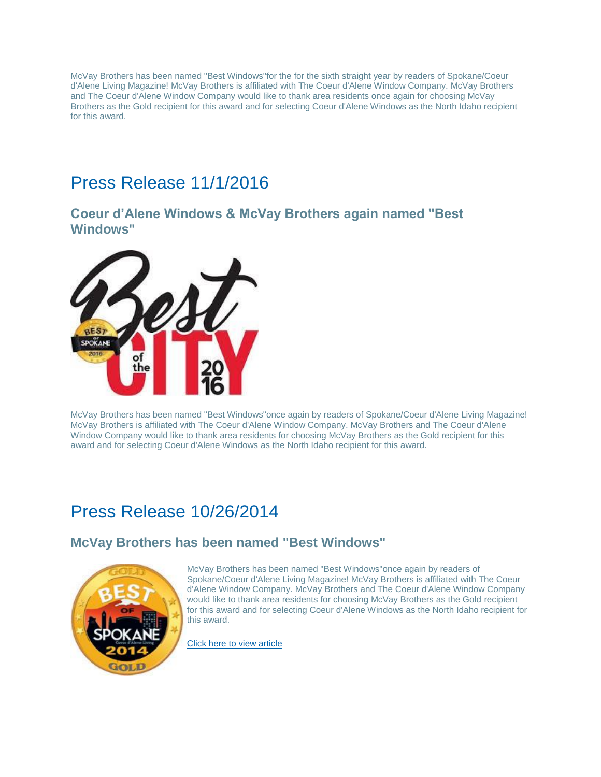McVay Brothers has been named "Best Windows"for the for the sixth straight year by readers of Spokane/Coeur d'Alene Living Magazine! McVay Brothers is affiliated with The Coeur d'Alene Window Company. McVay Brothers and The Coeur d'Alene Window Company would like to thank area residents once again for choosing McVay Brothers as the Gold recipient for this award and for selecting Coeur d'Alene Windows as the North Idaho recipient for this award.

### Press Release 11/1/2016

#### **Coeur d'Alene Windows & McVay Brothers again named "Best Windows"**



McVay Brothers has been named "Best Windows"once again by readers of Spokane/Coeur d'Alene Living Magazine! McVay Brothers is affiliated with The Coeur d'Alene Window Company. McVay Brothers and The Coeur d'Alene Window Company would like to thank area residents for choosing McVay Brothers as the Gold recipient for this award and for selecting Coeur d'Alene Windows as the North Idaho recipient for this award.

### Press Release 10/26/2014

### **McVay Brothers has been named "Best Windows"**



McVay Brothers has been named "Best Windows"once again by readers of Spokane/Coeur d'Alene Living Magazine! McVay Brothers is affiliated with The Coeur d'Alene Window Company. McVay Brothers and The Coeur d'Alene Window Company would like to thank area residents for choosing McVay Brothers as the Gold recipient for this award and for selecting Coeur d'Alene Windows as the North Idaho recipient for this award.

[Click here to view article](http://spokanecda.com/featured/best-of-the-city-2014/)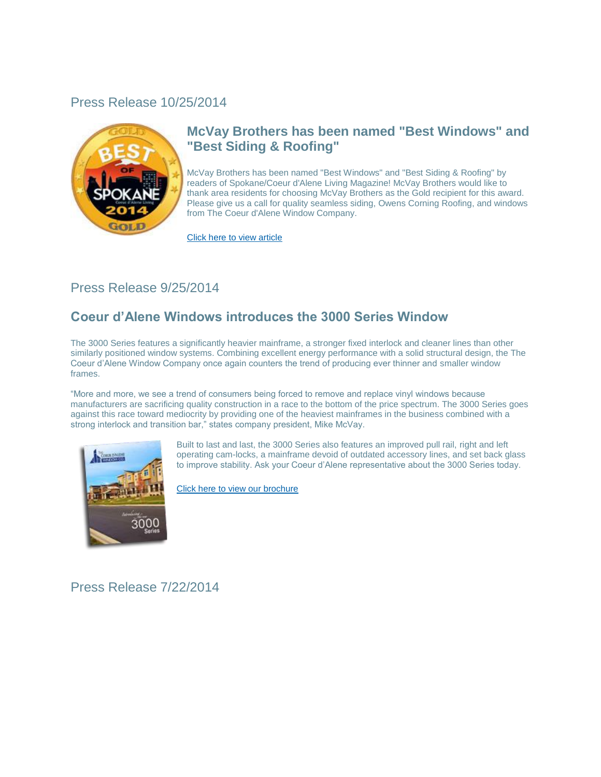#### Press Release 10/25/2014



### **McVay Brothers has been named "Best Windows" and "Best Siding & Roofing"**

McVay Brothers has been named "Best Windows" and "Best Siding & Roofing" by readers of Spokane/Coeur d'Alene Living Magazine! McVay Brothers would like to thank area residents for choosing McVay Brothers as the Gold recipient for this award. Please give us a call for quality seamless siding, Owens Corning Roofing, and windows from The Coeur d'Alene Window Company.

[Click here to view article](http://spokanecda.com/featured/best-of-the-city-2014/)

#### Press Release 9/25/2014

### **Coeur d'Alene Windows introduces the 3000 Series Window**

The 3000 Series features a significantly heavier mainframe, a stronger fixed interlock and cleaner lines than other similarly positioned window systems. Combining excellent energy performance with a solid structural design, the The Coeur d'Alene Window Company once again counters the trend of producing ever thinner and smaller window frames.

"More and more, we see a trend of consumers being forced to remove and replace vinyl windows because manufacturers are sacrificing quality construction in a race to the bottom of the price spectrum. The 3000 Series goes against this race toward mediocrity by providing one of the heaviest mainframes in the business combined with a strong interlock and transition bar," states company president, Mike McVay.



Built to last and last, the 3000 Series also features an improved pull rail, right and left operating cam-locks, a mainframe devoid of outdated accessory lines, and set back glass to improve stability. Ask your Coeur d'Alene representative about the 3000 Series today.

[Click here to view our brochure](http://www.coeurdalenewindow.com/pdf/OneSheet_3000.pdf)

Press Release 7/22/2014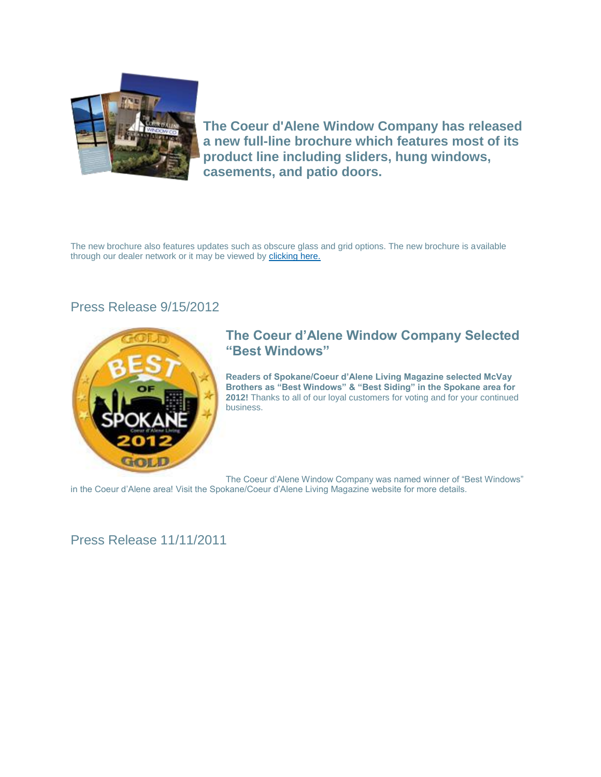

**The Coeur d'Alene Window Company has released a new full-line brochure which features most of its product line including sliders, hung windows, casements, and patio doors.**

The new brochure also features updates such as obscure glass and grid options. The new brochure is available through our dealer network or it may be viewed by [clicking here.](http://www.coeurdalenewindow.com/pdf/CdaWin_BrochureLo.pdf)

#### Press Release 9/15/2012



#### **The Coeur d'Alene Window Company Selected "Best Windows"**

**Readers of Spokane/Coeur d'Alene Living Magazine selected McVay Brothers as "Best Windows" & "Best Siding" in the Spokane area for 2012!** Thanks to all of our loyal customers for voting and for your continued business.

The Coeur d'Alene Window Company was named winner of "Best Windows"

in the Coeur d'Alene area! Visit the Spokane/Coeur d'Alene Living Magazine website for more details.

### Press Release 11/11/2011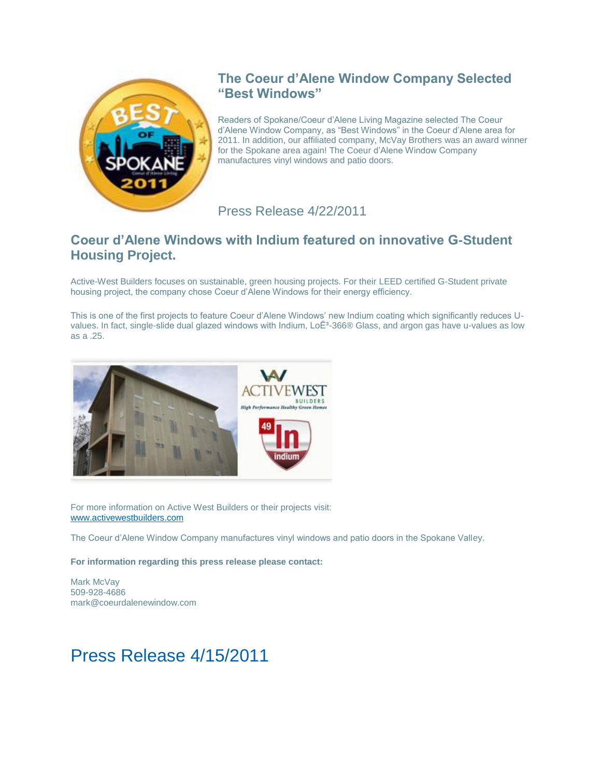

### **The Coeur d'Alene Window Company Selected "Best Windows"**

Readers of Spokane/Coeur d'Alene Living Magazine selected The Coeur d'Alene Window Company, as "Best Windows" in the Coeur d'Alene area for 2011. In addition, our affiliated company, McVay Brothers was an award winner for the Spokane area again! The Coeur d'Alene Window Company manufactures vinyl windows and patio doors.

Press Release 4/22/2011

### **Coeur d'Alene Windows with Indium featured on innovative G-Student Housing Project.**

Active-West Builders focuses on sustainable, green housing projects. For their LEED certified G-Student private housing project, the company chose Coeur d'Alene Windows for their energy efficiency.

This is one of the first projects to feature Coeur d'Alene Windows' new Indium coating which significantly reduces Uvalues. In fact, single-slide dual glazed windows with Indium, LoE<sup>3</sup>-366® Glass, and argon gas have u-values as low as a .25.



For more information on Active West Builders or their projects visit: [www.activewestbuilders.com](http://www.activewestbuilders.com/)

The Coeur d'Alene Window Company manufactures vinyl windows and patio doors in the Spokane Valley.

**For information regarding this press release please contact:**

Mark McVay 509-928-4686 mark@coeurdalenewindow.com

### Press Release 4/15/2011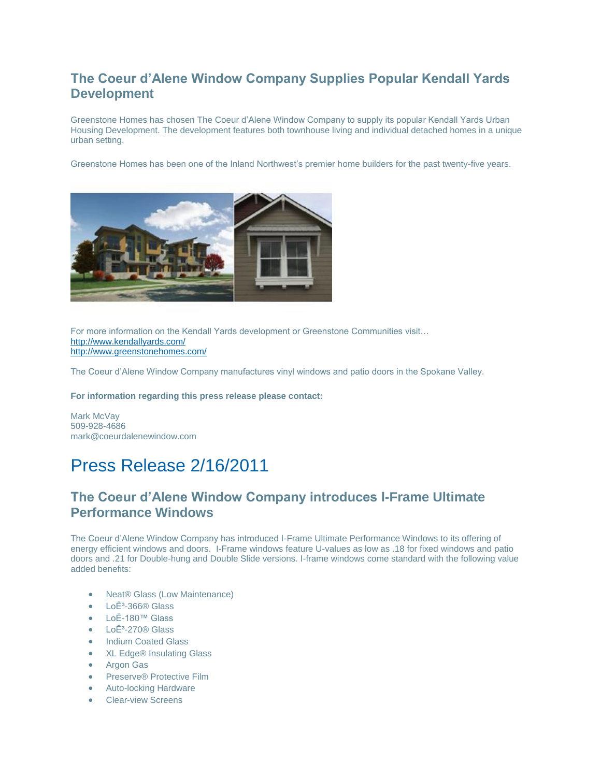### **The Coeur d'Alene Window Company Supplies Popular Kendall Yards Development**

Greenstone Homes has chosen The Coeur d'Alene Window Company to supply its popular Kendall Yards Urban Housing Development. The development features both townhouse living and individual detached homes in a unique urban setting.

Greenstone Homes has been one of the Inland Northwest's premier home builders for the past twenty-five years.



For more information on the Kendall Yards development or Greenstone Communities visit… <http://www.kendallyards.com/> <http://www.greenstonehomes.com/>

The Coeur d'Alene Window Company manufactures vinyl windows and patio doors in the Spokane Valley.

**For information regarding this press release please contact:**

Mark McVay 509-928-4686 mark@coeurdalenewindow.com

# Press Release 2/16/2011

### **The Coeur d'Alene Window Company introduces I-Frame Ultimate Performance Windows**

The Coeur d'Alene Window Company has introduced I-Frame Ultimate Performance Windows to its offering of energy efficient windows and doors. I-Frame windows feature U-values as low as .18 for fixed windows and patio doors and .21 for Double-hung and Double Slide versions. I-frame windows come standard with the following value added benefits:

- Neat® Glass (Low Maintenance)
- $LoE<sup>3</sup>$ -366® Glass
- LoĒ-180™ Glass
- LoĒ<sup>3</sup>-270® Glass
- Indium Coated Glass
- XL Edge® Insulating Glass
- Argon Gas
- Preserve<sup>®</sup> Protective Film
- Auto-locking Hardware
- Clear-view Screens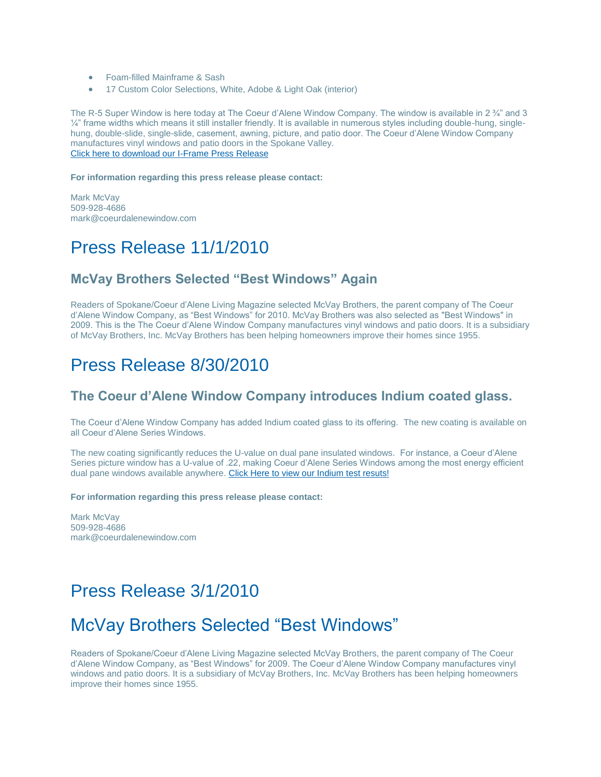- Foam-filled Mainframe & Sash
- 17 Custom Color Selections, White, Adobe & Light Oak (interior)

The R-5 Super Window is here today at The Coeur d'Alene Window Company. The window is available in 2 ¾" and 3  $\frac{1}{4}$ " frame widths which means it still installer friendly. It is available in numerous styles including double-hung, singlehung, double-slide, single-slide, casement, awning, picture, and patio door. The Coeur d'Alene Window Company manufactures vinyl windows and patio doors in the Spokane Valley. [Click here to download our I-Frame Press Release](http://www.coeurdalenewindow.com/admin/uploads/uploads/IframePressRelease.pdf)

#### **For information regarding this press release please contact:**

Mark McVav 509-928-4686 mark@coeurdalenewindow.com

### Press Release 11/1/2010

#### **McVay Brothers Selected "Best Windows" Again**

Readers of Spokane/Coeur d'Alene Living Magazine selected McVay Brothers, the parent company of The Coeur d'Alene Window Company, as "Best Windows" for 2010. McVay Brothers was also selected as "Best Windows" in 2009. This is the The Coeur d'Alene Window Company manufactures vinyl windows and patio doors. It is a subsidiary of McVay Brothers, Inc. McVay Brothers has been helping homeowners improve their homes since 1955.

### Press Release 8/30/2010

#### **The Coeur d'Alene Window Company introduces Indium coated glass.**

The Coeur d'Alene Window Company has added Indium coated glass to its offering. The new coating is available on all Coeur d'Alene Series Windows.

The new coating significantly reduces the U-value on dual pane insulated windows. For instance, a Coeur d'Alene Series picture window has a U-value of .22, making Coeur d'Alene Series Windows among the most energy efficient dual pane windows available anywhere. [Click Here to view our Indium test resuts!](http://www.coeurdalenewindow.com/CDATestingIndium.pdf)

#### **For information regarding this press release please contact:**

Mark McVay 509-928-4686 mark@coeurdalenewindow.com

### Press Release 3/1/2010

### McVay Brothers Selected "Best Windows"

Readers of Spokane/Coeur d'Alene Living Magazine selected McVay Brothers, the parent company of The Coeur d'Alene Window Company, as "Best Windows" for 2009. The Coeur d'Alene Window Company manufactures vinyl windows and patio doors. It is a subsidiary of McVay Brothers, Inc. McVay Brothers has been helping homeowners improve their homes since 1955.